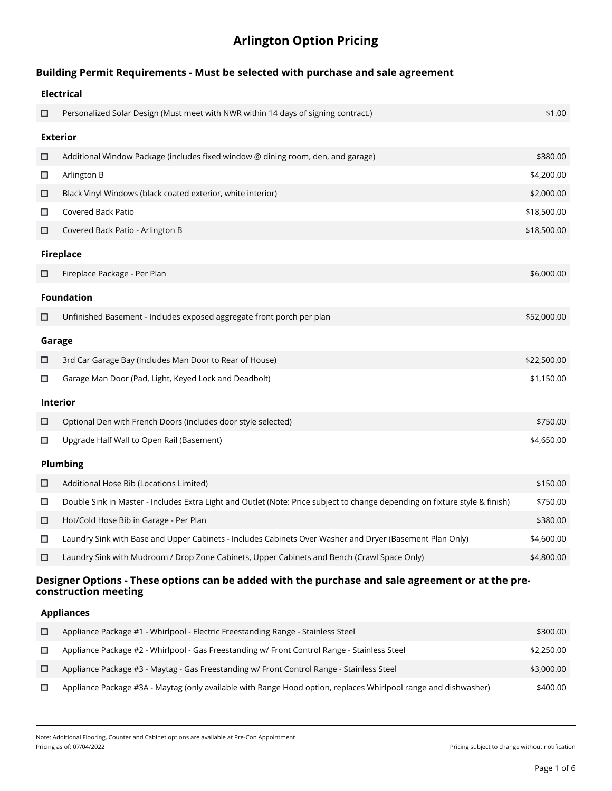# **Arlington Option Pricing**

## **Building Permit Requirements - Must be selected with purchase and sale agreement**

|                 | <b>Electrical</b>                                                                                                           |             |  |
|-----------------|-----------------------------------------------------------------------------------------------------------------------------|-------------|--|
| □               | Personalized Solar Design (Must meet with NWR within 14 days of signing contract.)                                          | \$1.00      |  |
|                 | <b>Exterior</b>                                                                                                             |             |  |
| □               | Additional Window Package (includes fixed window @ dining room, den, and garage)                                            | \$380.00    |  |
| $\Box$          | Arlington B                                                                                                                 | \$4,200.00  |  |
| $\Box$          | Black Vinyl Windows (black coated exterior, white interior)                                                                 | \$2,000.00  |  |
| □               | Covered Back Patio                                                                                                          | \$18,500.00 |  |
| □               | Covered Back Patio - Arlington B                                                                                            | \$18,500.00 |  |
|                 | <b>Fireplace</b>                                                                                                            |             |  |
| □               | Fireplace Package - Per Plan                                                                                                | \$6,000.00  |  |
|                 | <b>Foundation</b>                                                                                                           |             |  |
| □               | Unfinished Basement - Includes exposed aggregate front porch per plan                                                       | \$52,000.00 |  |
|                 | Garage                                                                                                                      |             |  |
| □               | 3rd Car Garage Bay (Includes Man Door to Rear of House)                                                                     | \$22,500.00 |  |
| □               | Garage Man Door (Pad, Light, Keyed Lock and Deadbolt)                                                                       | \$1,150.00  |  |
| Interior        |                                                                                                                             |             |  |
| $\Box$          | Optional Den with French Doors (includes door style selected)                                                               | \$750.00    |  |
| □               | Upgrade Half Wall to Open Rail (Basement)                                                                                   | \$4,650.00  |  |
| <b>Plumbing</b> |                                                                                                                             |             |  |
| $\Box$          | Additional Hose Bib (Locations Limited)                                                                                     | \$150.00    |  |
| □               | Double Sink in Master - Includes Extra Light and Outlet (Note: Price subject to change depending on fixture style & finish) | \$750.00    |  |
| □               | Hot/Cold Hose Bib in Garage - Per Plan                                                                                      | \$380.00    |  |
| □               | Laundry Sink with Base and Upper Cabinets - Includes Cabinets Over Washer and Dryer (Basement Plan Only)                    | \$4,600.00  |  |
| □               | Laundry Sink with Mudroom / Drop Zone Cabinets, Upper Cabinets and Bench (Crawl Space Only)                                 | \$4,800.00  |  |

### **Designer Options - These options can be added with the purchase and sale agreement or at the preconstruction meeting**

### **Appliances**

| □ | Appliance Package #1 - Whirlpool - Electric Freestanding Range - Stainless Steel                                | \$300.00   |
|---|-----------------------------------------------------------------------------------------------------------------|------------|
|   | Appliance Package #2 - Whirlpool - Gas Freestanding w/ Front Control Range - Stainless Steel                    | \$2,250.00 |
|   | Appliance Package #3 - Maytag - Gas Freestanding w/ Front Control Range - Stainless Steel                       | \$3,000.00 |
|   | Appliance Package #3A - Maytag (only available with Range Hood option, replaces Whirlpool range and dishwasher) | \$400.00   |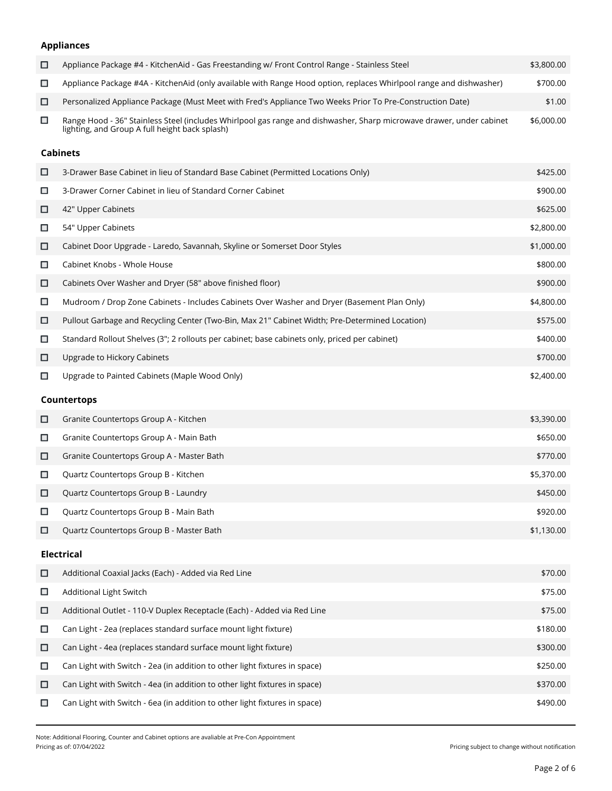# **Appliances**

| □      | Appliance Package #4 - KitchenAid - Gas Freestanding w/ Front Control Range - Stainless Steel                                                                          | \$3,800.00 |
|--------|------------------------------------------------------------------------------------------------------------------------------------------------------------------------|------------|
| □      | Appliance Package #4A - KitchenAid (only available with Range Hood option, replaces Whirlpool range and dishwasher)                                                    | \$700.00   |
| □      | Personalized Appliance Package (Must Meet with Fred's Appliance Two Weeks Prior To Pre-Construction Date)                                                              | \$1.00     |
| $\Box$ | Range Hood - 36" Stainless Steel (includes Whirlpool gas range and dishwasher, Sharp microwave drawer, under cabinet<br>lighting, and Group A full height back splash) | \$6,000.00 |
|        | <b>Cabinets</b>                                                                                                                                                        |            |
| □      | 3-Drawer Base Cabinet in lieu of Standard Base Cabinet (Permitted Locations Only)                                                                                      | \$425.00   |
| □      | 3-Drawer Corner Cabinet in lieu of Standard Corner Cabinet                                                                                                             | \$900.00   |
| □      | 42" Upper Cabinets                                                                                                                                                     | \$625.00   |
| □      | 54" Upper Cabinets                                                                                                                                                     | \$2,800.00 |
| □      | Cabinet Door Upgrade - Laredo, Savannah, Skyline or Somerset Door Styles                                                                                               | \$1,000.00 |
| □      | Cabinet Knobs - Whole House                                                                                                                                            | \$800.00   |
| □      | Cabinets Over Washer and Dryer (58" above finished floor)                                                                                                              | \$900.00   |
| □      | Mudroom / Drop Zone Cabinets - Includes Cabinets Over Washer and Dryer (Basement Plan Only)                                                                            | \$4,800.00 |
| □      | Pullout Garbage and Recycling Center (Two-Bin, Max 21" Cabinet Width; Pre-Determined Location)                                                                         | \$575.00   |
| □      | Standard Rollout Shelves (3"; 2 rollouts per cabinet; base cabinets only, priced per cabinet)                                                                          | \$400.00   |
| □      | Upgrade to Hickory Cabinets                                                                                                                                            | \$700.00   |
| □      | Upgrade to Painted Cabinets (Maple Wood Only)                                                                                                                          | \$2,400.00 |
|        | <b>Countertops</b>                                                                                                                                                     |            |
| □      | Granite Countertops Group A - Kitchen                                                                                                                                  | \$3,390.00 |
| □      | Granite Countertops Group A - Main Bath                                                                                                                                | \$650.00   |
| □      | Granite Countertops Group A - Master Bath                                                                                                                              | \$770.00   |
| □      | Quartz Countertops Group B - Kitchen                                                                                                                                   | \$5,370.00 |
| □      | Quartz Countertops Group B - Laundry                                                                                                                                   | \$450.00   |
| □      | Quartz Countertops Group B - Main Bath                                                                                                                                 | \$920.00   |
| □      | Quartz Countertops Group B - Master Bath                                                                                                                               | \$1,130.00 |
|        | <b>Electrical</b>                                                                                                                                                      |            |
| □      | Additional Coaxial Jacks (Each) - Added via Red Line                                                                                                                   | \$70.00    |
| $\Box$ | Additional Light Switch                                                                                                                                                | \$75.00    |
| □      | Additional Outlet - 110-V Duplex Receptacle (Each) - Added via Red Line                                                                                                | \$75.00    |
| $\Box$ | Can Light - 2ea (replaces standard surface mount light fixture)                                                                                                        | \$180.00   |
| □      | Can Light - 4ea (replaces standard surface mount light fixture)                                                                                                        | \$300.00   |
| □      | Can Light with Switch - 2ea (in addition to other light fixtures in space)                                                                                             | \$250.00   |
| □      | Can Light with Switch - 4ea (in addition to other light fixtures in space)                                                                                             | \$370.00   |
|        |                                                                                                                                                                        |            |

Note: Additional Flooring, Counter and Cabinet options are avaliable at Pre-Con Appointment

Pricing subject to change without notification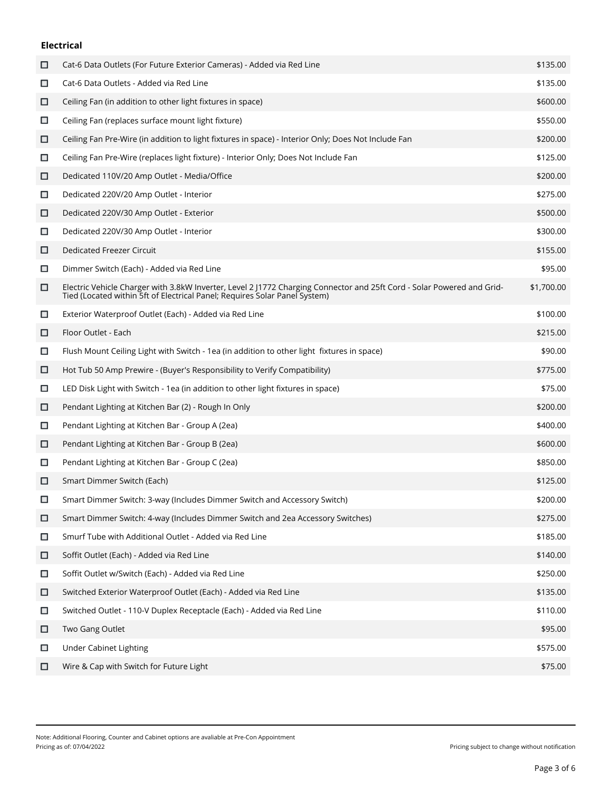### **Electrical**

| □      | Cat-6 Data Outlets (For Future Exterior Cameras) - Added via Red Line                                                                                                                                | \$135.00   |
|--------|------------------------------------------------------------------------------------------------------------------------------------------------------------------------------------------------------|------------|
| □      | Cat-6 Data Outlets - Added via Red Line                                                                                                                                                              | \$135.00   |
| □      | Ceiling Fan (in addition to other light fixtures in space)                                                                                                                                           | \$600.00   |
| □      | Ceiling Fan (replaces surface mount light fixture)                                                                                                                                                   | \$550.00   |
| □      | Ceiling Fan Pre-Wire (in addition to light fixtures in space) - Interior Only; Does Not Include Fan                                                                                                  | \$200.00   |
| □      | Ceiling Fan Pre-Wire (replaces light fixture) - Interior Only; Does Not Include Fan                                                                                                                  | \$125.00   |
| о      | Dedicated 110V/20 Amp Outlet - Media/Office                                                                                                                                                          | \$200.00   |
| □      | Dedicated 220V/20 Amp Outlet - Interior                                                                                                                                                              | \$275.00   |
| □      | Dedicated 220V/30 Amp Outlet - Exterior                                                                                                                                                              | \$500.00   |
| □      | Dedicated 220V/30 Amp Outlet - Interior                                                                                                                                                              | \$300.00   |
| □      | <b>Dedicated Freezer Circuit</b>                                                                                                                                                                     | \$155.00   |
| □      | Dimmer Switch (Each) - Added via Red Line                                                                                                                                                            | \$95.00    |
| □      | Electric Vehicle Charger with 3.8kW Inverter, Level 2 J1772 Charging Connector and 25ft Cord - Solar Powered and Grid-<br>Tied (Located within 5ft of Electrical Panel; Requires Solar Panel System) | \$1,700.00 |
| $\Box$ | Exterior Waterproof Outlet (Each) - Added via Red Line                                                                                                                                               | \$100.00   |
| □      | Floor Outlet - Each                                                                                                                                                                                  | \$215.00   |
| □      | Flush Mount Ceiling Light with Switch - 1ea (in addition to other light fixtures in space)                                                                                                           | \$90.00    |
| □      | Hot Tub 50 Amp Prewire - (Buyer's Responsibility to Verify Compatibility)                                                                                                                            | \$775.00   |
| □      | LED Disk Light with Switch - 1ea (in addition to other light fixtures in space)                                                                                                                      | \$75.00    |
| □      | Pendant Lighting at Kitchen Bar (2) - Rough In Only                                                                                                                                                  | \$200.00   |
| □      | Pendant Lighting at Kitchen Bar - Group A (2ea)                                                                                                                                                      | \$400.00   |
| □      | Pendant Lighting at Kitchen Bar - Group B (2ea)                                                                                                                                                      | \$600.00   |
| □      | Pendant Lighting at Kitchen Bar - Group C (2ea)                                                                                                                                                      | \$850.00   |
| □      | Smart Dimmer Switch (Each)                                                                                                                                                                           | \$125.00   |
| □      | Smart Dimmer Switch: 3-way (Includes Dimmer Switch and Accessory Switch)                                                                                                                             | \$200.00   |
| □      | Smart Dimmer Switch: 4-way (Includes Dimmer Switch and 2ea Accessory Switches)                                                                                                                       | \$275.00   |
| □      | Smurf Tube with Additional Outlet - Added via Red Line                                                                                                                                               | \$185.00   |
| □      | Soffit Outlet (Each) - Added via Red Line                                                                                                                                                            | \$140.00   |
| □      | Soffit Outlet w/Switch (Each) - Added via Red Line                                                                                                                                                   | \$250.00   |
| О      | Switched Exterior Waterproof Outlet (Each) - Added via Red Line                                                                                                                                      | \$135.00   |
| □      | Switched Outlet - 110-V Duplex Receptacle (Each) - Added via Red Line                                                                                                                                | \$110.00   |
| □      | Two Gang Outlet                                                                                                                                                                                      | \$95.00    |
| □      | <b>Under Cabinet Lighting</b>                                                                                                                                                                        | \$575.00   |
| □      | Wire & Cap with Switch for Future Light                                                                                                                                                              | \$75.00    |
|        |                                                                                                                                                                                                      |            |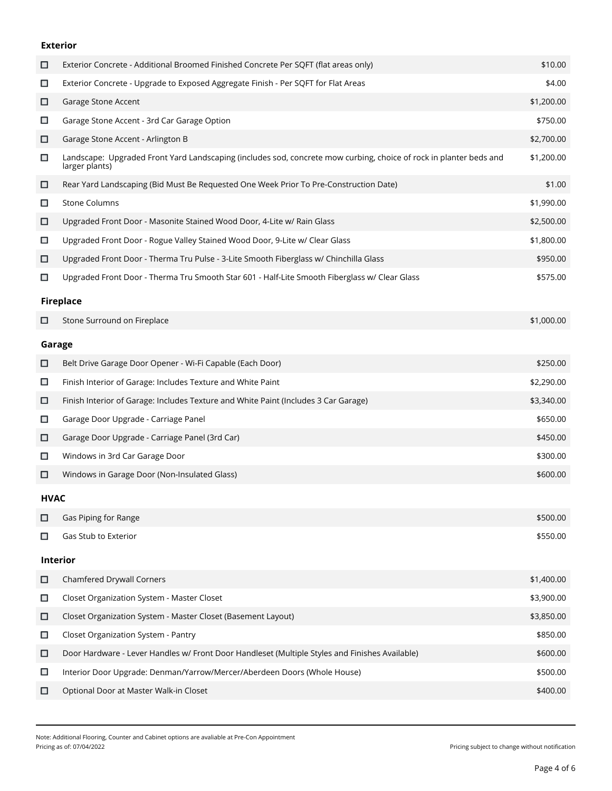### **Exterior**

| □           | Exterior Concrete - Additional Broomed Finished Concrete Per SQFT (flat areas only)                                                  | \$10.00    |  |
|-------------|--------------------------------------------------------------------------------------------------------------------------------------|------------|--|
| □           | Exterior Concrete - Upgrade to Exposed Aggregate Finish - Per SQFT for Flat Areas                                                    | \$4.00     |  |
| □           | Garage Stone Accent                                                                                                                  | \$1,200.00 |  |
| □           | Garage Stone Accent - 3rd Car Garage Option                                                                                          | \$750.00   |  |
| □           | Garage Stone Accent - Arlington B                                                                                                    | \$2,700.00 |  |
| □           | Landscape: Upgraded Front Yard Landscaping (includes sod, concrete mow curbing, choice of rock in planter beds and<br>larger plants) | \$1,200.00 |  |
| □           | Rear Yard Landscaping (Bid Must Be Requested One Week Prior To Pre-Construction Date)                                                | \$1.00     |  |
| □           | <b>Stone Columns</b>                                                                                                                 | \$1,990.00 |  |
| □           | Upgraded Front Door - Masonite Stained Wood Door, 4-Lite w/ Rain Glass                                                               | \$2,500.00 |  |
| □           | Upgraded Front Door - Rogue Valley Stained Wood Door, 9-Lite w/ Clear Glass                                                          | \$1,800.00 |  |
| □           | Upgraded Front Door - Therma Tru Pulse - 3-Lite Smooth Fiberglass w/ Chinchilla Glass                                                | \$950.00   |  |
| □           | Upgraded Front Door - Therma Tru Smooth Star 601 - Half-Lite Smooth Fiberglass w/ Clear Glass                                        | \$575.00   |  |
|             | <b>Fireplace</b>                                                                                                                     |            |  |
| □           | Stone Surround on Fireplace                                                                                                          | \$1,000.00 |  |
| Garage      |                                                                                                                                      |            |  |
| □           | Belt Drive Garage Door Opener - Wi-Fi Capable (Each Door)                                                                            | \$250.00   |  |
| □           | Finish Interior of Garage: Includes Texture and White Paint                                                                          | \$2,290.00 |  |
| □           | Finish Interior of Garage: Includes Texture and White Paint (Includes 3 Car Garage)                                                  | \$3,340.00 |  |
| □           | Garage Door Upgrade - Carriage Panel                                                                                                 | \$650.00   |  |
| □           | Garage Door Upgrade - Carriage Panel (3rd Car)                                                                                       | \$450.00   |  |
| □           | Windows in 3rd Car Garage Door                                                                                                       | \$300.00   |  |
| □           | Windows in Garage Door (Non-Insulated Glass)                                                                                         | \$600.00   |  |
| <b>HVAC</b> |                                                                                                                                      |            |  |
| □           | Gas Piping for Range                                                                                                                 | \$500.00   |  |
| □           | Gas Stub to Exterior                                                                                                                 | \$550.00   |  |
|             | Interior                                                                                                                             |            |  |
| □           | <b>Chamfered Drywall Corners</b>                                                                                                     | \$1,400.00 |  |
| $\Box$      | Closet Organization System - Master Closet                                                                                           | \$3,900.00 |  |
| □           | Closet Organization System - Master Closet (Basement Layout)                                                                         | \$3,850.00 |  |
| $\Box$      | Closet Organization System - Pantry                                                                                                  | \$850.00   |  |
| □           | Door Hardware - Lever Handles w/ Front Door Handleset (Multiple Styles and Finishes Available)                                       | \$600.00   |  |
| $\Box$      | Interior Door Upgrade: Denman/Yarrow/Mercer/Aberdeen Doors (Whole House)                                                             | \$500.00   |  |
| □           | Optional Door at Master Walk-in Closet                                                                                               | \$400.00   |  |
|             |                                                                                                                                      |            |  |

Note: Additional Flooring, Counter and Cabinet options are avaliable at Pre-Con Appointment

Pricing subject to change without notification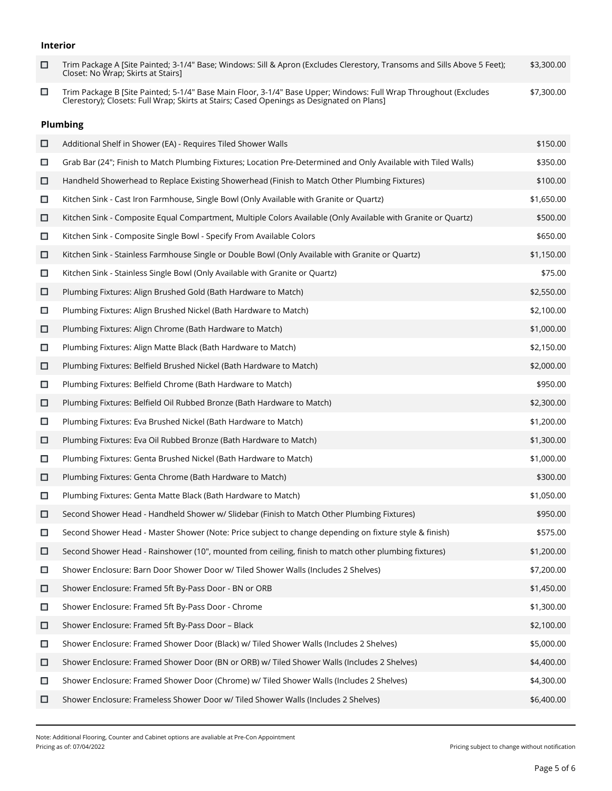### **Interior**

| □      | Trim Package A [Site Painted; 3-1/4" Base; Windows: Sill & Apron (Excludes Clerestory, Transoms and Sills Above 5 Feet);<br>Closet: No Wrap; Skirts at Stairs]                                                | \$3,300.00 |
|--------|---------------------------------------------------------------------------------------------------------------------------------------------------------------------------------------------------------------|------------|
| □      | Trim Package B [Site Painted; 5-1/4" Base Main Floor, 3-1/4" Base Upper; Windows: Full Wrap Throughout (Excludes<br>Clerestory); Closets: Full Wrap; Skirts at Stairs; Cased Openings as Designated on Plans] | \$7,300.00 |
|        | <b>Plumbing</b>                                                                                                                                                                                               |            |
| □      | Additional Shelf in Shower (EA) - Requires Tiled Shower Walls                                                                                                                                                 | \$150.00   |
| $\Box$ | Grab Bar (24"; Finish to Match Plumbing Fixtures; Location Pre-Determined and Only Available with Tiled Walls)                                                                                                | \$350.00   |
| □      | Handheld Showerhead to Replace Existing Showerhead (Finish to Match Other Plumbing Fixtures)                                                                                                                  | \$100.00   |
| □      | Kitchen Sink - Cast Iron Farmhouse, Single Bowl (Only Available with Granite or Quartz)                                                                                                                       | \$1,650.00 |
| □      | Kitchen Sink - Composite Equal Compartment, Multiple Colors Available (Only Available with Granite or Quartz)                                                                                                 | \$500.00   |
| □      | Kitchen Sink - Composite Single Bowl - Specify From Available Colors                                                                                                                                          | \$650.00   |
| □      | Kitchen Sink - Stainless Farmhouse Single or Double Bowl (Only Available with Granite or Quartz)                                                                                                              | \$1,150.00 |
| $\Box$ | Kitchen Sink - Stainless Single Bowl (Only Available with Granite or Quartz)                                                                                                                                  | \$75.00    |
| □      | Plumbing Fixtures: Align Brushed Gold (Bath Hardware to Match)                                                                                                                                                | \$2,550.00 |
| $\Box$ | Plumbing Fixtures: Align Brushed Nickel (Bath Hardware to Match)                                                                                                                                              | \$2,100.00 |
| □      | Plumbing Fixtures: Align Chrome (Bath Hardware to Match)                                                                                                                                                      | \$1,000.00 |
| $\Box$ | Plumbing Fixtures: Align Matte Black (Bath Hardware to Match)                                                                                                                                                 | \$2,150.00 |
| □      | Plumbing Fixtures: Belfield Brushed Nickel (Bath Hardware to Match)                                                                                                                                           | \$2,000.00 |
| $\Box$ | Plumbing Fixtures: Belfield Chrome (Bath Hardware to Match)                                                                                                                                                   | \$950.00   |
| □      | Plumbing Fixtures: Belfield Oil Rubbed Bronze (Bath Hardware to Match)                                                                                                                                        | \$2,300.00 |
| □      | Plumbing Fixtures: Eva Brushed Nickel (Bath Hardware to Match)                                                                                                                                                | \$1,200.00 |
| □      | Plumbing Fixtures: Eva Oil Rubbed Bronze (Bath Hardware to Match)                                                                                                                                             | \$1,300.00 |
| □      | Plumbing Fixtures: Genta Brushed Nickel (Bath Hardware to Match)                                                                                                                                              | \$1,000.00 |
| □      | Plumbing Fixtures: Genta Chrome (Bath Hardware to Match)                                                                                                                                                      | \$300.00   |
| □      | Plumbing Fixtures: Genta Matte Black (Bath Hardware to Match)                                                                                                                                                 | \$1,050.00 |
| □      | Second Shower Head - Handheld Shower w/ Slidebar (Finish to Match Other Plumbing Fixtures)                                                                                                                    | \$950.00   |
| $\Box$ | Second Shower Head - Master Shower (Note: Price subject to change depending on fixture style & finish)                                                                                                        | \$575.00   |
| □      | Second Shower Head - Rainshower (10", mounted from ceiling, finish to match other plumbing fixtures)                                                                                                          | \$1,200.00 |
| $\Box$ | Shower Enclosure: Barn Door Shower Door w/ Tiled Shower Walls (Includes 2 Shelves)                                                                                                                            | \$7,200.00 |
| □      | Shower Enclosure: Framed 5ft By-Pass Door - BN or ORB                                                                                                                                                         | \$1,450.00 |
| □      | Shower Enclosure: Framed 5ft By-Pass Door - Chrome                                                                                                                                                            | \$1,300.00 |
| □      | Shower Enclosure: Framed 5ft By-Pass Door - Black                                                                                                                                                             | \$2,100.00 |
| □      | Shower Enclosure: Framed Shower Door (Black) w/ Tiled Shower Walls (Includes 2 Shelves)                                                                                                                       | \$5,000.00 |
| □      | Shower Enclosure: Framed Shower Door (BN or ORB) w/ Tiled Shower Walls (Includes 2 Shelves)                                                                                                                   | \$4,400.00 |
| $\Box$ | Shower Enclosure: Framed Shower Door (Chrome) w/ Tiled Shower Walls (Includes 2 Shelves)                                                                                                                      | \$4,300.00 |
| □      | Shower Enclosure: Frameless Shower Door w/ Tiled Shower Walls (Includes 2 Shelves)                                                                                                                            | \$6,400.00 |